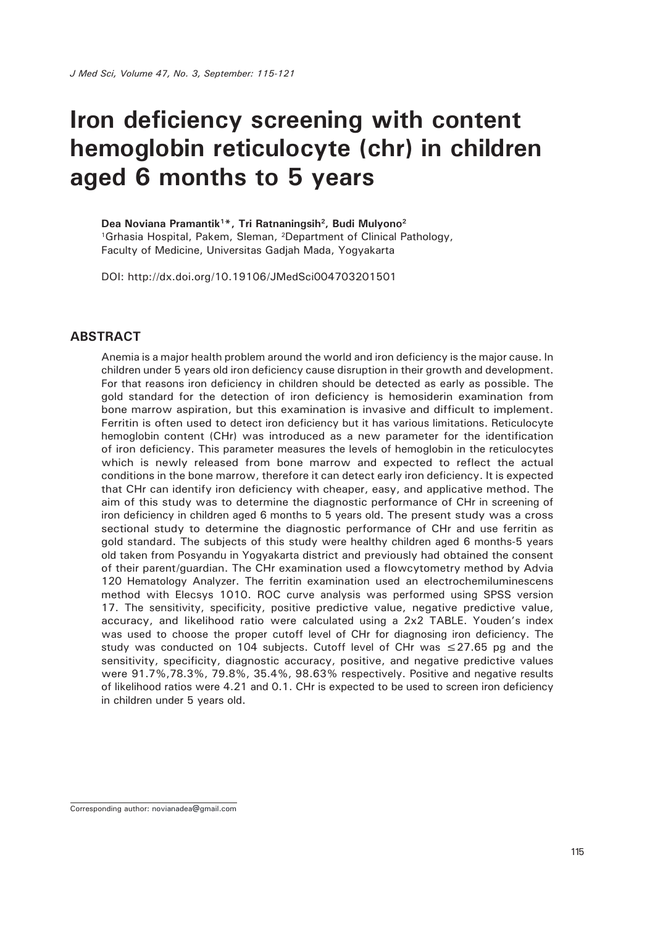# **Iron deficiency screening with content hemoglobin reticulocyte (chr) in children aged 6 months to 5 years**

**Dea Noviana Pramantik1\*, Tri Ratnaningsih2, Budi Mulyono2** <sup>1</sup>Grhasia Hospital, Pakem, Sleman, <sup>2</sup>Department of Clinical Pathology, Faculty of Medicine, Universitas Gadjah Mada, Yogyakarta

DOI: http://dx.doi.org/10.19106/JMedSci004703201501

#### **ABSTRACT**

Anemia is a major health problem around the world and iron deficiency is the major cause. In children under 5 years old iron deficiency cause disruption in their growth and development. For that reasons iron deficiency in children should be detected as early as possible. The gold standard for the detection of iron deficiency is hemosiderin examination from bone marrow aspiration, but this examination is invasive and difficult to implement. Ferritin is often used to detect iron deficiency but it has various limitations. Reticulocyte hemoglobin content (CHr) was introduced as a new parameter for the identification of iron deficiency. This parameter measures the levels of hemoglobin in the reticulocytes which is newly released from bone marrow and expected to reflect the actual conditions in the bone marrow, therefore it can detect early iron deficiency. It is expected that CHr can identify iron deficiency with cheaper, easy, and applicative method. The aim of this study was to determine the diagnostic performance of CHr in screening of iron deficiency in children aged 6 months to 5 years old. The present study was a cross sectional study to determine the diagnostic performance of CHr and use ferritin as gold standard. The subjects of this study were healthy children aged 6 months-5 years old taken from Posyandu in Yogyakarta district and previously had obtained the consent of their parent/guardian. The CHr examination used a flowcytometry method by Advia 120 Hematology Analyzer. The ferritin examination used an electrochemiluminescens method with Elecsys 1010. ROC curve analysis was performed using SPSS version 17. The sensitivity, specificity, positive predictive value, negative predictive value, accuracy, and likelihood ratio were calculated using a 2x2 TABLE. Youden's index was used to choose the proper cutoff level of CHr for diagnosing iron deficiency. The study was conducted on 104 subjects. Cutoff level of CHr was  $\leq$ 27.65 pg and the sensitivity, specificity, diagnostic accuracy, positive, and negative predictive values were 91.7%,78.3%, 79.8%, 35.4%, 98.63% respectively. Positive and negative results of likelihood ratios were 4.21 and 0.1. CHr is expected to be used to screen iron deficiency in children under 5 years old.

Corresponding author: novianadea@gmail.com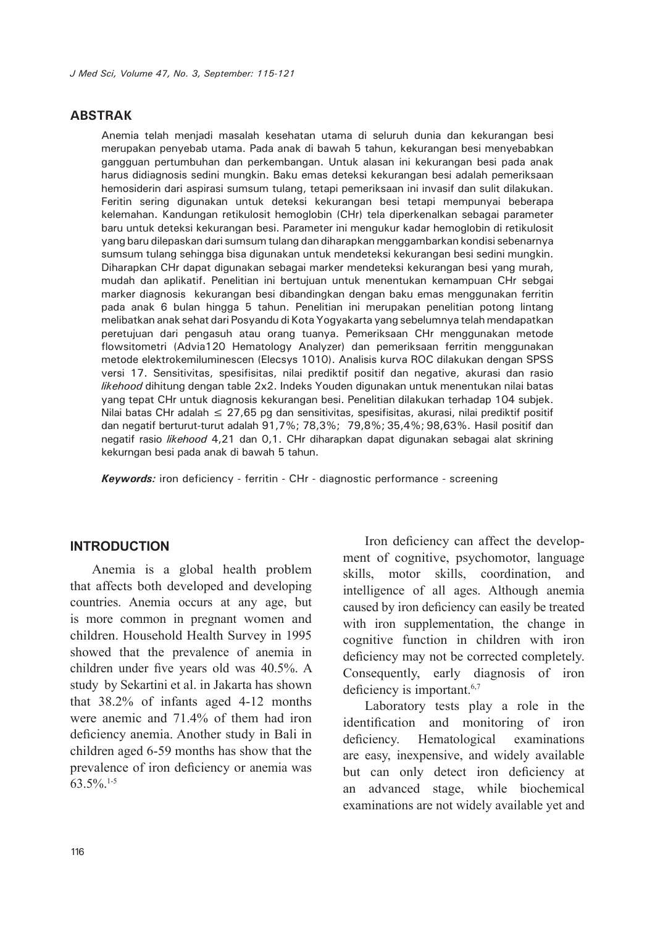## **ABSTRAK**

Anemia telah menjadi masalah kesehatan utama di seluruh dunia dan kekurangan besi merupakan penyebab utama. Pada anak di bawah 5 tahun, kekurangan besi menyebabkan gangguan pertumbuhan dan perkembangan. Untuk alasan ini kekurangan besi pada anak harus didiagnosis sedini mungkin. Baku emas deteksi kekurangan besi adalah pemeriksaan hemosiderin dari aspirasi sumsum tulang, tetapi pemeriksaan ini invasif dan sulit dilakukan. Feritin sering digunakan untuk deteksi kekurangan besi tetapi mempunyai beberapa kelemahan. Kandungan retikulosit hemoglobin (CHr) tela diperkenalkan sebagai parameter baru untuk deteksi kekurangan besi. Parameter ini mengukur kadar hemoglobin di retikulosit yang baru dilepaskan dari sumsum tulang dan diharapkan menggambarkan kondisi sebenarnya sumsum tulang sehingga bisa digunakan untuk mendeteksi kekurangan besi sedini mungkin. Diharapkan CHr dapat digunakan sebagai marker mendeteksi kekurangan besi yang murah, mudah dan aplikatif. Penelitian ini bertujuan untuk menentukan kemampuan CHr sebgai marker diagnosis kekurangan besi dibandingkan dengan baku emas menggunakan ferritin pada anak 6 bulan hingga 5 tahun. Penelitian ini merupakan penelitian potong lintang melibatkan anak sehat dari Posyandu di Kota Yogyakarta yang sebelumnya telah mendapatkan peretujuan dari pengasuh atau orang tuanya. Pemeriksaan CHr menggunakan metode flowsitometri (Advia120 Hematology Analyzer) dan pemeriksaan ferritin menggunakan metode elektrokemiluminescen (Elecsys 1010). Analisis kurva ROC dilakukan dengan SPSS versi 17. Sensitivitas, spesifisitas, nilai prediktif positif dan negative, akurasi dan rasio *likehood* dihitung dengan table 2x2. Indeks Youden digunakan untuk menentukan nilai batas yang tepat CHr untuk diagnosis kekurangan besi. Penelitian dilakukan terhadap 104 subjek. Nilai batas CHr adalah  $\leq 27.65$  pg dan sensitivitas, spesifisitas, akurasi, nilai prediktif positif dan negatif berturut-turut adalah 91,7%; 78,3%; 79,8%; 35,4%; 98,63%. Hasil positif dan negatif rasio *likehood* 4,21 dan 0,1. CHr diharapkan dapat digunakan sebagai alat skrining kekurngan besi pada anak di bawah 5 tahun.

*Keywords:* iron deficiency - ferritin - CHr - diagnostic performance - screening

### **INTRODUCTION**

Anemia is a global health problem that affects both developed and developing countries. Anemia occurs at any age, but is more common in pregnant women and children. Household Health Survey in 1995 showed that the prevalence of anemia in children under five years old was 40.5%. A study by Sekartini et al. in Jakarta has shown that 38.2% of infants aged 4-12 months were anemic and 71.4% of them had iron deficiency anemia. Another study in Bali in children aged 6-59 months has show that the prevalence of iron deficiency or anemia was 63.5%.1-5

Iron deficiency can affect the development of cognitive, psychomotor, language skills, motor skills, coordination, and intelligence of all ages. Although anemia caused by iron deficiency can easily be treated with iron supplementation, the change in cognitive function in children with iron deficiency may not be corrected completely. Consequently, early diagnosis of iron deficiency is important.<sup>6,7</sup>

Laboratory tests play a role in the identification and monitoring of iron deficiency. Hematological examinations are easy, inexpensive, and widely available but can only detect iron deficiency at an advanced stage, while biochemical examinations are not widely available yet and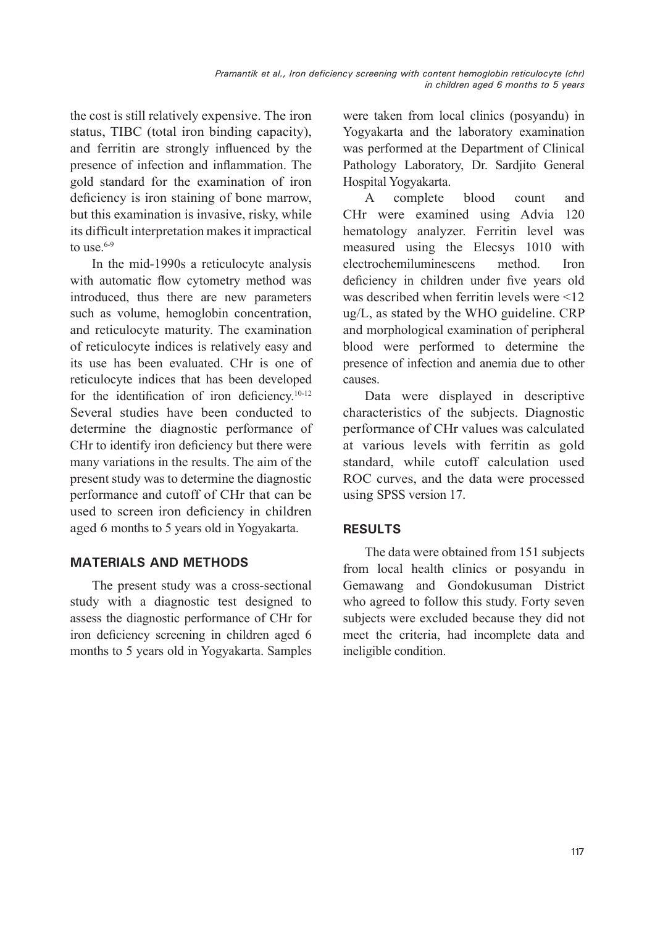the cost is still relatively expensive. The iron status, TIBC (total iron binding capacity), and ferritin are strongly influenced by the presence of infection and inflammation. The gold standard for the examination of iron deficiency is iron staining of bone marrow, but this examination is invasive, risky, while its difficult interpretation makes it impractical to use  $6-9$ 

In the mid-1990s a reticulocyte analysis with automatic flow cytometry method was introduced, thus there are new parameters such as volume, hemoglobin concentration, and reticulocyte maturity. The examination of reticulocyte indices is relatively easy and its use has been evaluated. CHr is one of reticulocyte indices that has been developed for the identification of iron deficiency.<sup>10-12</sup> Several studies have been conducted to determine the diagnostic performance of CHr to identify iron deficiency but there were many variations in the results. The aim of the present study was to determine the diagnostic performance and cutoff of CHr that can be used to screen iron deficiency in children aged 6 months to 5 years old in Yogyakarta.

# **MATERIALS AND METHODS**

The present study was a cross-sectional study with a diagnostic test designed to assess the diagnostic performance of CHr for iron deficiency screening in children aged 6 months to 5 years old in Yogyakarta. Samples

were taken from local clinics (posyandu) in Yogyakarta and the laboratory examination was performed at the Department of Clinical Pathology Laboratory, Dr. Sardiito General Hospital Yogyakarta.

A complete blood count and CHr were examined using Advia 120 hematology analyzer. Ferritin level was measured using the Elecsys 1010 with electrochemiluminescens method. Iron deficiency in children under five years old was described when ferritin levels were <12 ug/L, as stated by the WHO guideline. CRP and morphological examination of peripheral blood were performed to determine the presence of infection and anemia due to other causes.

Data were displayed in descriptive characteristics of the subjects. Diagnostic performance of CHr values was calculated at various levels with ferritin as gold standard, while cutoff calculation used ROC curves, and the data were processed using SPSS version 17.

# **RESULTS**

The data were obtained from 151 subjects from local health clinics or posyandu in Gemawang and Gondokusuman District who agreed to follow this study. Forty seven subjects were excluded because they did not meet the criteria, had incomplete data and ineligible condition.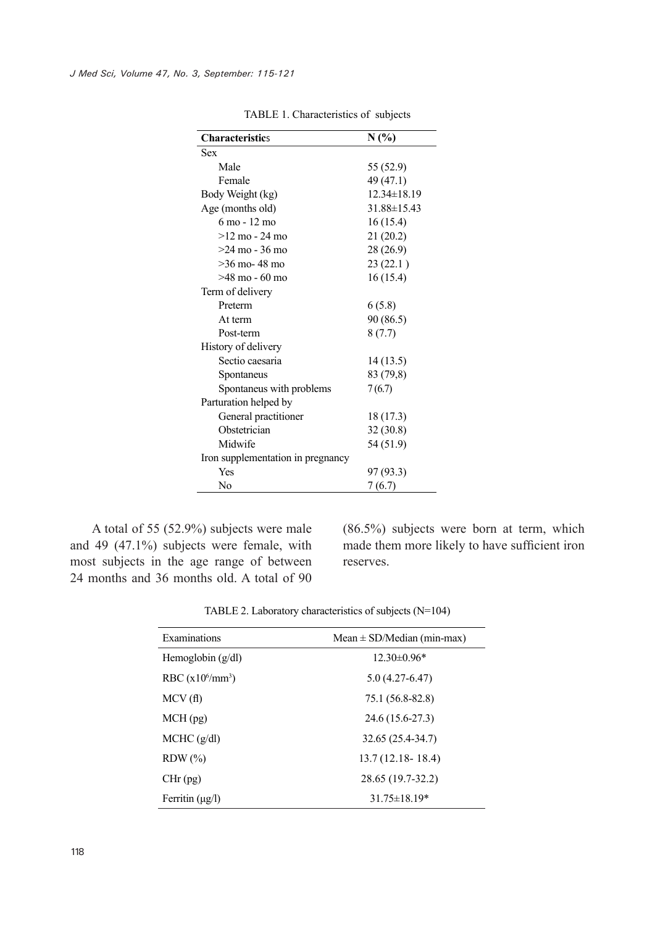| <b>Characteristics</b>            | N(%)              |  |  |
|-----------------------------------|-------------------|--|--|
| <b>Sex</b>                        |                   |  |  |
| Male                              | 55 (52.9)         |  |  |
| Female                            | 49 (47.1)         |  |  |
| Body Weight (kg)                  | $12.34 \pm 18.19$ |  |  |
| Age (months old)                  | $31.88 \pm 15.43$ |  |  |
| 6 mo - 12 mo                      | 16(15.4)          |  |  |
| $>12 \text{ mo} - 24 \text{ mo}$  | 21(20.2)          |  |  |
| $>24$ mo - 36 mo                  | 28 (26.9)         |  |  |
| $>36$ mo-48 mo                    | 23(22.1)          |  |  |
| $>48 \text{ mo} - 60 \text{ mo}$  | 16(15.4)          |  |  |
| Term of delivery                  |                   |  |  |
| Preterm                           | 6(5.8)            |  |  |
| At term                           | 90 (86.5)         |  |  |
| Post-term                         | 8(7.7)            |  |  |
| History of delivery               |                   |  |  |
| Sectio caesaria                   | 14(13.5)          |  |  |
| 83 (79,8)<br>Spontaneus           |                   |  |  |
| Spontaneus with problems          | 7(6.7)            |  |  |
| Parturation helped by             |                   |  |  |
| General practitioner              | 18 (17.3)         |  |  |
| Obstetrician                      | 32(30.8)          |  |  |
| Midwife                           | 54 (51.9)         |  |  |
| Iron supplementation in pregnancy |                   |  |  |
| Yes                               | 97 (93.3)         |  |  |
| No                                | 7 (6.7)           |  |  |

TABLE 1. Characteristics of subjects

A total of 55 (52.9%) subjects were male and 49 (47.1%) subjects were female, with most subjects in the age range of between 24 months and 36 months old. A total of 90 (86.5%) subjects were born at term, which made them more likely to have sufficient iron reserves.

|  | TABLE 2. Laboratory characteristics of subjects $(N=104)$ |  |
|--|-----------------------------------------------------------|--|
|  |                                                           |  |

| Examinations              | Mean $\pm$ SD/Median (min-max) |  |
|---------------------------|--------------------------------|--|
| Hemoglobin $(g/dl)$       | $12.30\pm0.96*$                |  |
| RBC $(x10^6/\text{mm}^3)$ | $5.0(4.27-6.47)$               |  |
| MCV(f)                    | 75.1 (56.8-82.8)               |  |
| MCH(pg)                   | 24.6 (15.6-27.3)               |  |
| MCHC (g/dl)               | 32.65 (25.4-34.7)              |  |
| $RDW$ $(\%)$              | $13.7(12.18 - 18.4)$           |  |
| $CHr$ (pg)                | 28.65 (19.7-32.2)              |  |
| Ferritin $(\mu g/l)$      | $31.75 \pm 18.19*$             |  |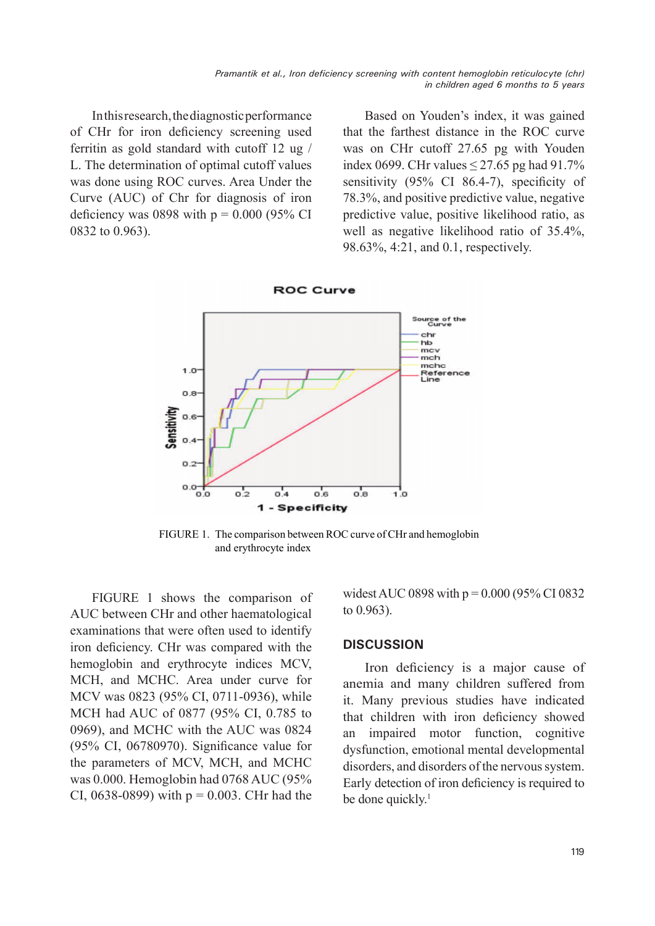In this research, the diagnostic performance of CHr for iron deficiency screening used ferritin as gold standard with cutoff 12 ug / L. The determination of optimal cutoff values was done using ROC curves. Area Under the Curve (AUC) of Chr for diagnosis of iron deficiency was 0898 with  $p = 0.000$  (95% CI 0832 to 0.963).

Based on Youden's index, it was gained that the farthest distance in the ROC curve was on CHr cutoff 27.65 pg with Youden index 0699. CHr values  $\leq$  27.65 pg had 91.7% sensitivity (95% CI 86.4-7), specificity of 78.3%, and positive predictive value, negative predictive value, positive likelihood ratio, as well as negative likelihood ratio of 35.4%, 98.63%, 4:21, and 0.1, respectively.



FIGURE 1. The comparison between ROC curve of CHr and hemoglobin and erythrocyte index

FIGURE 1 shows the comparison of AUC between CHr and other haematological examinations that were often used to identify iron deficiency. CHr was compared with the hemoglobin and erythrocyte indices MCV, MCH, and MCHC. Area under curve for MCV was 0823 (95% CI, 0711-0936), while MCH had AUC of 0877 (95% CI, 0.785 to 0969), and MCHC with the AUC was 0824 (95% CI, 06780970). Significance value for the parameters of MCV, MCH, and MCHC was 0.000. Hemoglobin had 0768 AUC (95% CI, 0638-0899) with  $p = 0.003$ . CHr had the

widest AUC 0898 with  $p = 0.000$  (95% CI 0832 to 0.963).

## **DISCUSSION**

Iron deficiency is a major cause of anemia and many children suffered from it. Many previous studies have indicated that children with iron deficiency showed an impaired motor function, cognitive dysfunction, emotional mental developmental disorders, and disorders of the nervous system. Early detection of iron deficiency is required to be done quickly.<sup>1</sup>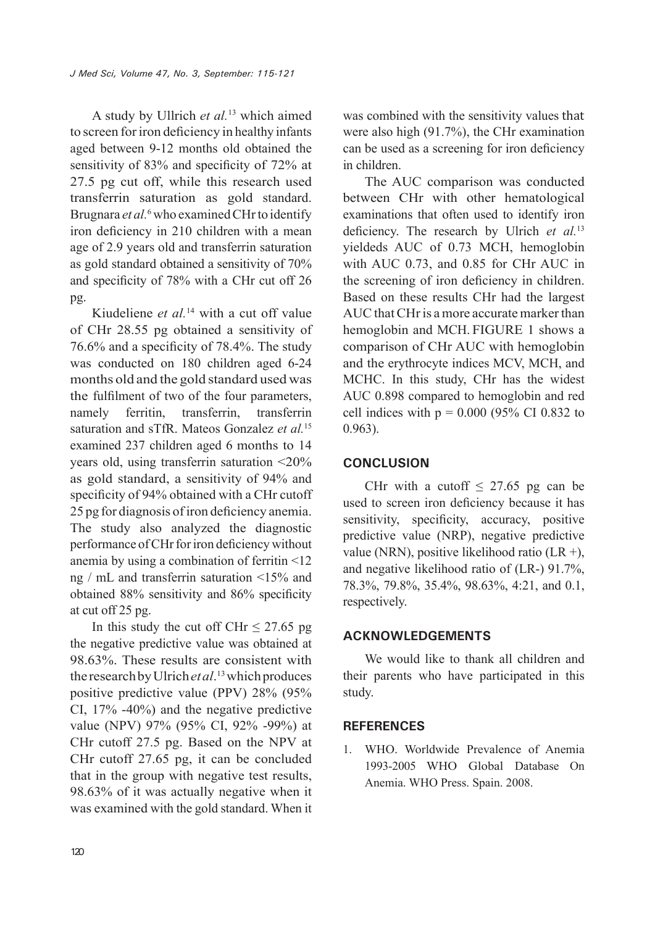A study by Ullrich *et al.*13 which aimed to screen for iron deficiency in healthy infants aged between 9-12 months old obtained the sensitivity of 83% and specificity of 72% at 27.5 pg cut off, while this research used transferrin saturation as gold standard. Brugnara et al.<sup>6</sup> who examined CHr to identify iron deficiency in 210 children with a mean age of 2.9 years old and transferrin saturation as gold standard obtained a sensitivity of 70% and specificity of 78% with a CHr cut off 26 pg.

Kiudeliene *et al.*14 with a cut off value of CHr 28.55 pg obtained a sensitivity of 76.6% and a specificity of 78.4%. The study was conducted on 180 children aged 6-24 months old and the gold standard used was the fulfilment of two of the four parameters, namely ferritin, transferrin, transferrin saturation and sTfR. Mateos Gonzalez *et al.*<sup>15</sup> examined 237 children aged 6 months to 14 years old, using transferrin saturation <20% as gold standard, a sensitivity of 94% and specificity of 94% obtained with a CHr cutoff 25 pg for diagnosis of iron deficiency anemia. The study also analyzed the diagnostic performance of CHr for iron deficiency without anemia by using a combination of ferritin <12 ng / mL and transferrin saturation <15% and obtained 88% sensitivity and 86% specificity at cut off 25 pg.

In this study the cut off CHr  $\leq$  27.65 pg the negative predictive value was obtained at 98.63%. These results are consistent with the research by Ulrich *et al*. 13 which produces positive predictive value (PPV) 28% (95% CI, 17% -40%) and the negative predictive value (NPV) 97% (95% CI, 92% -99%) at CHr cutoff 27.5 pg. Based on the NPV at CHr cutoff 27.65 pg, it can be concluded that in the group with negative test results, 98.63% of it was actually negative when it was examined with the gold standard. When it

was combined with the sensitivity values that were also high (91.7%), the CHr examination can be used as a screening for iron deficiency in children.

The AUC comparison was conducted between CHr with other hematological examinations that often used to identify iron deficiency. The research by Ulrich *et al.*<sup>13</sup> yieldeds AUC of 0.73 MCH, hemoglobin with AUC 0.73, and 0.85 for CHr AUC in the screening of iron deficiency in children. Based on these results CHr had the largest AUC that CHr is a more accurate marker than hemoglobin and MCH. FIGURE 1 shows a comparison of CHr AUC with hemoglobin and the erythrocyte indices MCV, MCH, and MCHC. In this study, CHr has the widest AUC 0.898 compared to hemoglobin and red cell indices with  $p = 0.000$  (95% CI 0.832 to 0.963).

## **CONCLUSION**

CHr with a cutoff  $\leq$  27.65 pg can be used to screen iron deficiency because it has sensitivity, specificity, accuracy, positive predictive value (NRP), negative predictive value (NRN), positive likelihood ratio (LR +), and negative likelihood ratio of (LR-) 91.7%, 78.3%, 79.8%, 35.4%, 98.63%, 4:21, and 0.1, respectively.

## **ACKNOWLEDGEMENTS**

We would like to thank all children and their parents who have participated in this study.

## **REFERENCES**

1. WHO. Worldwide Prevalence of Anemia 1993-2005 WHO Global Database On Anemia. WHO Press. Spain. 2008.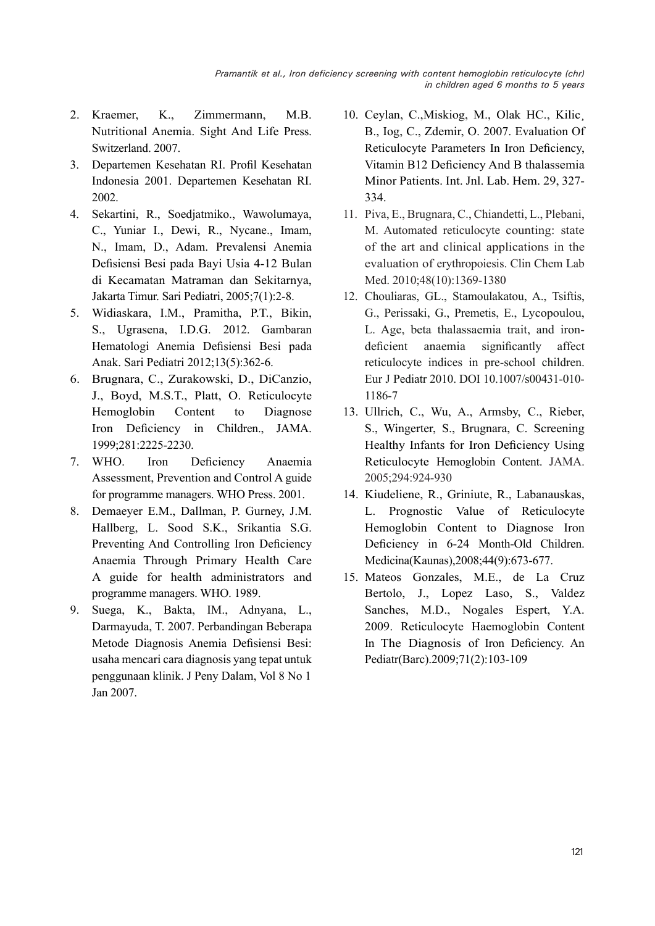- 2. Kraemer, K., Zimmermann, M.B. Nutritional Anemia. Sight And Life Press. Switzerland. 2007.
- 3. Departemen Kesehatan RI. Profil Kesehatan Indonesia 2001. Departemen Kesehatan RI. 2002.
- 4. Sekartini, R., Soedjatmiko., Wawolumaya, C., Yuniar I., Dewi, R., Nycane., Imam, N., Imam, D., Adam. Prevalensi Anemia Defisiensi Besi pada Bayi Usia 4-12 Bulan di Kecamatan Matraman dan Sekitarnya, Jakarta Timur. Sari Pediatri, 2005;7(1):2-8.
- 5. Widiaskara, I.M., Pramitha, P.T., Bikin, S., Ugrasena, I.D.G. 2012. Gambaran Hematologi Anemia Defisiensi Besi pada Anak. Sari Pediatri 2012;13(5):362-6.
- 6. Brugnara, C., Zurakowski, D., DiCanzio, J., Boyd, M.S.T., Platt, O. Reticulocyte Hemoglobin Content to Diagnose Iron Deficiency in Children., JAMA. 1999;281:2225-2230.
- 7. WHO. Iron Deficiency Anaemia Assessment, Prevention and Control A guide for programme managers. WHO Press. 2001.
- 8. Demaeyer E.M., Dallman, P. Gurney, J.M. Hallberg, L. Sood S.K., Srikantia S.G. Preventing And Controlling Iron Deficiency Anaemia Through Primary Health Care A guide for health administrators and programme managers. WHO. 1989.
- 9. Suega, K., Bakta, IM., Adnyana, L., Darmayuda, T. 2007. Perbandingan Beberapa Metode Diagnosis Anemia Defisiensi Besi: usaha mencari cara diagnosis yang tepat untuk penggunaan klinik. J Peny Dalam, Vol 8 No 1 Jan 2007.
- 10. Ceylan, C., Miskiog, M., Olak HC., Kilic B., Iog, C., Zdemir, O. 2007. Evaluation Of Reticulocyte Parameters In Iron Deficiency, Vitamin B12 Deficiency And Β thalassemia Minor Patients. Int. Jnl. Lab. Hem. 29, 327- 334.
- 11. Piva, E., Brugnara, C., Chiandetti, L., Plebani, M. Automated reticulocyte counting: state of the art and clinical applications in the evaluation of erythropoiesis. Clin Chem Lab Med. 2010;48(10):1369-1380
- 12. Chouliaras, GL., Stamoulakatou, A., Tsiftis, G., Perissaki, G., Premetis, E., Lycopoulou, L. Age, beta thalassaemia trait, and irondeficient anaemia significantly affect reticulocyte indices in pre-school children. Eur J Pediatr 2010. DOI 10.1007/s00431-010- 1186-7
- 13. Ullrich, C., Wu, A., Armsby, C., Rieber, S., Wingerter, S., Brugnara, C. Screening Healthy Infants for Iron Deficiency Using Reticulocyte Hemoglobin Content. JAMA. 2005;294:924-930
- 14. Kiudeliene, R., Griniute, R., Labanauskas, L. Prognostic Value of Reticulocyte Hemoglobin Content to Diagnose Iron Deficiency in 6-24 Month-Old Children. Medicina(Kaunas),2008;44(9):673-677.
- 15. Mateos Gonzales, M.E., de La Cruz Bertolo, J., Lopez Laso, S., Valdez Sanches, M.D., Nogales Espert, Y.A. 2009. Reticulocyte Haemoglobin Content In The Diagnosis of Iron Deficiency. An Pediatr(Barc).2009;71(2):103-109